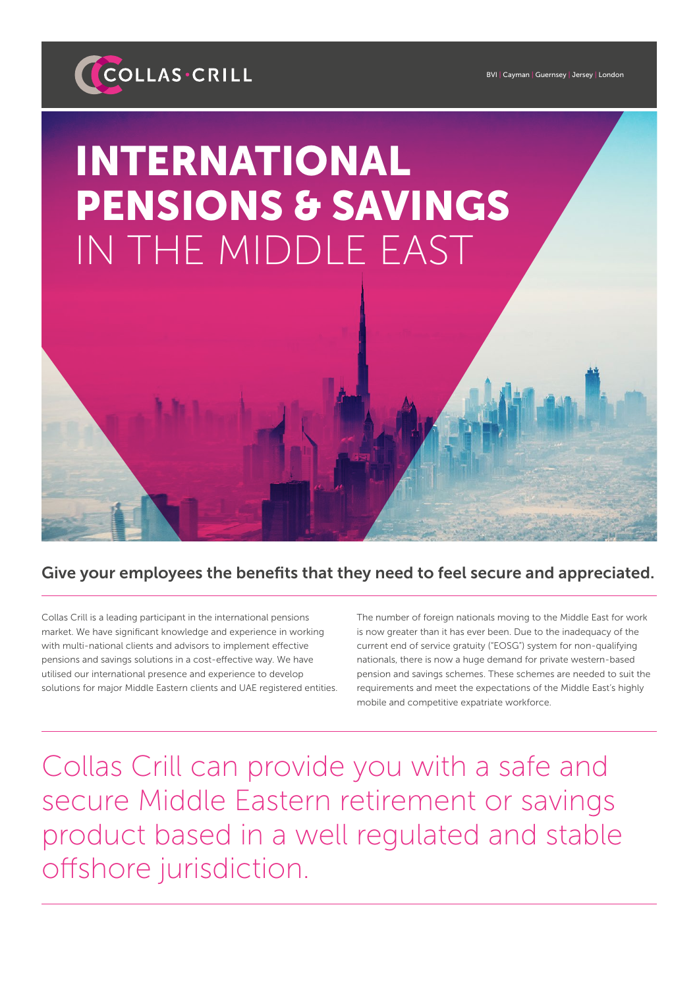

BVI | Cayman | Guernsey | Jersey | London

## INTERNATIONAL PENSIONS & SAVINGS IN THE MIDDLE EAST

## Give your employees the benefits that they need to feel secure and appreciated.

Collas Crill is a leading participant in the international pensions market. We have significant knowledge and experience in working with multi-national clients and advisors to implement effective pensions and savings solutions in a cost-effective way. We have utilised our international presence and experience to develop solutions for major Middle Eastern clients and UAE registered entities. The number of foreign nationals moving to the Middle East for work is now greater than it has ever been. Due to the inadequacy of the current end of service gratuity ("EOSG") system for non-qualifying nationals, there is now a huge demand for private western-based pension and savings schemes. These schemes are needed to suit the requirements and meet the expectations of the Middle East's highly mobile and competitive expatriate workforce.

Collas Crill can provide you with a safe and secure Middle Eastern retirement or savings product based in a well regulated and stable offshore jurisdiction.